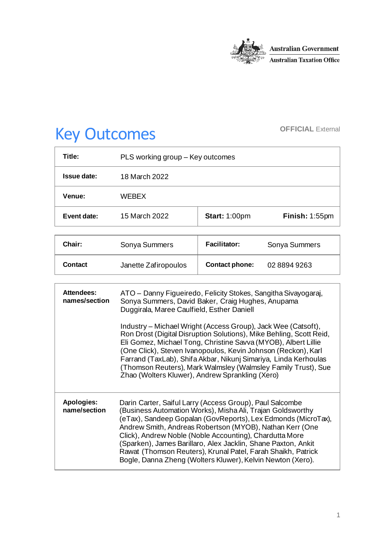

# Key Outcomes **OFFICIAL External**

| Title:        | PLS working group – Key outcomes |                      |                |
|---------------|----------------------------------|----------------------|----------------|
| Issue date:   | 18 March 2022                    |                      |                |
| <b>Venue:</b> | <b>WFBFX</b>                     |                      |                |
| Event date:   | 15 March 2022                    | <b>Start: 1:00pm</b> | Finish: 1:55pm |

| Chair:  | Sonya Summers        | <b>Facilitator:</b>   | Sonya Summers |
|---------|----------------------|-----------------------|---------------|
| Contact | Janette Zafiropoulos | <b>Contact phone:</b> | 0288949263    |

| <b>Attendees:</b><br>names/section | ATO - Danny Figueiredo, Felicity Stokes, Sangitha Sivayogaraj,<br>Sonya Summers, David Baker, Craig Hughes, Anupama<br>Duggirala, Maree Caulfield, Esther Daniell<br>Industry – Michael Wright (Access Group), Jack Wee (Catsoft),<br>Ron Drost (Digital Disruption Solutions), Mike Behling, Scott Reid,<br>Eli Gomez, Michael Tong, Christine Savva (MYOB), Albert Lillie<br>(One Click), Steven Ivanopoulos, Kevin Johnson (Reckon), Karl<br>Farrand (TaxLab), Shifa Akbar, Nikunj Simariya, Linda Kerhoulas<br>(Thomson Reuters), Mark Walmsley (Walmsley Family Trust), Sue<br>Zhao (Wolters Kluwer), Andrew Sprankling (Xero) |
|------------------------------------|-------------------------------------------------------------------------------------------------------------------------------------------------------------------------------------------------------------------------------------------------------------------------------------------------------------------------------------------------------------------------------------------------------------------------------------------------------------------------------------------------------------------------------------------------------------------------------------------------------------------------------------|
| Apologies:<br>name/section         | Darin Carter, Saiful Larry (Access Group), Paul Salcombe<br>(Business Automation Works), Misha Ali, Trajan Goldsworthy<br>(eTax), Sandeep Gopalan (GovReports), Lex Edmonds (MicroTax),<br>Andrew Smith, Andreas Robertson (MYOB), Nathan Kerr (One<br>Click), Andrew Noble (Noble Accounting), Chardutta More<br>(Sparken), James Barillaro, Alex Jacklin, Shane Paxton, Ankit<br>Rawat (Thomson Reuters), Krunal Patel, Farah Shaikh, Patrick<br>Bogle, Danna Zheng (Wolters Kluwer), Kelvin Newton (Xero).                                                                                                                       |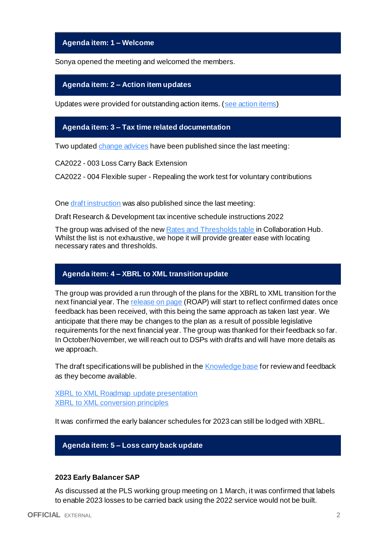**Agenda item: 1 – Welcome**

Sonya opened the meeting and welcomed the members.

#### **Agenda item: 2 – Action item updates**

Updates were provided for outstanding action items. [\(see action items\)](https://developer.sbr.gov.au/collaborate/display/DSPCOLLAB/PLSWG+action+items)

# **Agenda item: 3 – Tax time related documentation**

Two update[d change advices](https://developer.sbr.gov.au/collaborate/display/DSPCOLLAB/Controlled+information) have been published since the last meeting:

CA2022 - 003 Loss Carry Back Extension

CA2022 - 004 Flexible super - Repealing the work test for voluntary contributions

One [draft instruction](https://developer.sbr.gov.au/collaborate/x/SAEoE) was also published since the last meeting:

Draft Research & Development tax incentive schedule instructions 2022

The group was advised of the ne[w Rates and Thresholds table](https://developer.sbr.gov.au/collaborate/x/_QRTEw) in Collaboration Hub. Whilst the list is not exhaustive, we hope it will provide greater ease with locating necessary rates and thresholds.

# **Agenda item: 4 – XBRL to XML transition update**

The group was provided a run through of the plans for the XBRL to XML transition for the next financial year. The [release on page](https://developer.sbr.gov.au/collaborate/pages/viewpage.action?pageId=121251987) (ROAP) will start to reflect confirmed dates once feedback has been received, with this being the same approach as taken last year. We anticipate that there may be changes to the plan as a result of possible legislative requirements for the next financial year. The group was thanked for their feedback so far. In October/November, we will reach out to DSPs with drafts and will have more details as we approach.

The draft specifications will be published in th[e Knowledge base](https://developer.sbr.gov.au/collaborate/display/DSD/XBRL+to+XML+Conversion+Supporting+Information) for review and feedback as they become available.

**[XBRL to XML Roadmap update presentation](https://developer.sbr.gov.au/collaborate/download/attachments/288784790/PLSWG%20XBRL2XML%20Roadmap%20update%2020220315.pdf?version=1&modificationDate=1647563516770&api=v2)** [XBRL to XML conversion principles](https://developer.sbr.gov.au/collaborate/download/attachments/288784790/XBRL%20to%20XML%20conversion%20principles.pdf?version=1&modificationDate=1647576030613&api=v2)

It was confirmed the early balancer schedules for 2023 can still be lodged with XBRL.

# **Agenda item: 5 – Loss carry back update**

#### **2023 Early Balancer SAP**

As discussed at the PLS working group meeting on 1 March, it was confirmed that labels to enable 2023 losses to be carried back using the 2022 service would not be built.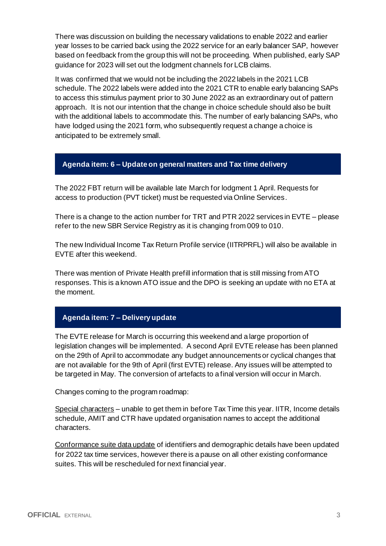There was discussion on building the necessary validations to enable 2022 and earlier year losses to be carried back using the 2022 service for an early balancer SAP, however based on feedback from the group this will not be proceeding. When published, early SAP guidance for 2023 will set out the lodgment channels for LCB claims.

It was confirmed that we would not be including the 2022 labels in the 2021 LCB schedule. The 2022 labels were added into the 2021 CTR to enable early balancing SAPs to access this stimulus payment prior to 30 June 2022 as an extraordinary out of pattern approach. It is not our intention that the change in choice schedule should also be built with the additional labels to accommodate this. The number of early balancing SAPs, who have lodged using the 2021 form, who subsequently request a change a choice is anticipated to be extremely small.

# **Agenda item: 6 – Update on general matters and Tax time delivery**

The 2022 FBT return will be available late March for lodgment 1 April. Requests for access to production (PVT ticket) must be requested via Online Services.

There is a change to the action number for TRT and PTR 2022 services in EVTE – please refer to the new SBR Service Registry as it is changing from 009 to 010.

The new Individual Income Tax Return Profile service (IITRPRFL) will also be available in EVTE after this weekend.

There was mention of Private Health prefill information that is still missing from ATO responses. This is a known ATO issue and the DPO is seeking an update with no ETA at the moment.

# **Agenda item: 7 – Delivery update**

The EVTE release for March is occurring this weekend and a large proportion of legislation changes will be implemented. A second April EVTE release has been planned on the 29th of April to accommodate any budget announcements or cyclical changes that are not available for the 9th of April (first EVTE) release. Any issues will be attempted to be targeted in May. The conversion of artefacts to a final version will occur in March.

Changes coming to the program roadmap:

Special characters – unable to get them in before Tax Time this year. IITR, Income details schedule, AMIT and CTR have updated organisation names to accept the additional characters.

Conformance suite data update of identifiers and demographic details have been updated for 2022 tax time services, however there is a pause on all other existing conformance suites. This will be rescheduled for next financial year.